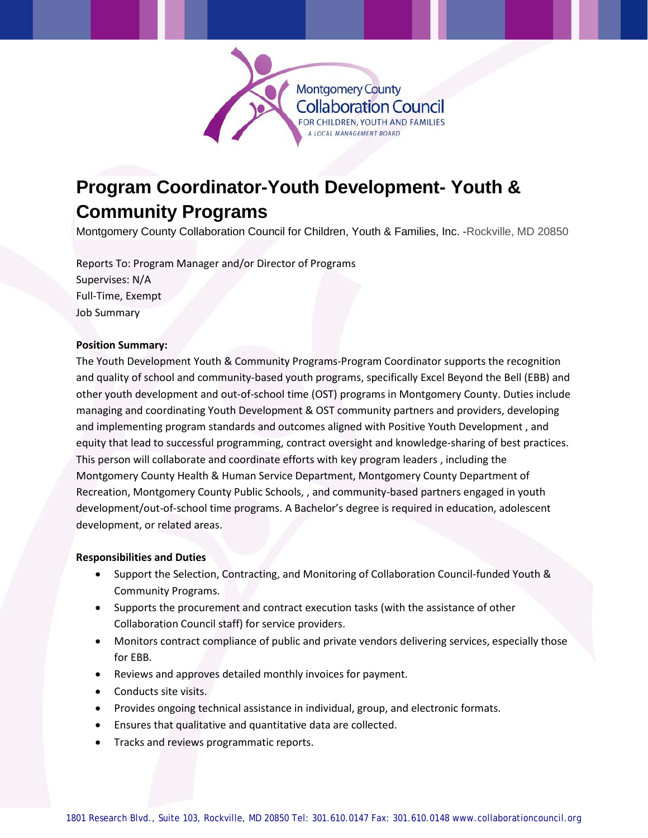

# **Program Coordinator-Youth Development- Youth & Community Programs**

Montgomery County Collaboration Council for Children, Youth & Families, Inc. -Rockville, MD 20850

Reports To: Program Manager and/or Director of Programs Supervises: N/A Full-Time, Exempt Job Summary

#### **Position Summary:**

The Youth Development Youth & Community Programs-Program Coordinator supports the recognition and quality of school and community-based youth programs, specifically Excel Beyond the Bell (EBB) and other youth development and out-of-school time (OST) programs in Montgomery County. Duties include managing and coordinating Youth Development & OST community partners and providers, developing and implementing program standards and outcomes aligned with Positive Youth Development , and equity that lead to successful programming, contract oversight and knowledge-sharing of best practices. This person will collaborate and coordinate efforts with key program leaders , including the Montgomery County Health & Human Service Department, Montgomery County Department of Recreation, Montgomery County Public Schools, , and community-based partners engaged in youth development/out-of-school time programs. A Bachelor's degree is required in education, adolescent development, or related areas.

#### **Responsibilities and Duties**

- Support the Selection, Contracting, and Monitoring of Collaboration Council-funded Youth & Community Programs.
- Supports the procurement and contract execution tasks (with the assistance of other Collaboration Council staff) for service providers.
- Monitors contract compliance of public and private vendors delivering services, especially those for EBB.
- Reviews and approves detailed monthly invoices for payment.
- Conducts site visits.
- Provides ongoing technical assistance in individual, group, and electronic formats.
- Ensures that qualitative and quantitative data are collected.
- Tracks and reviews programmatic reports.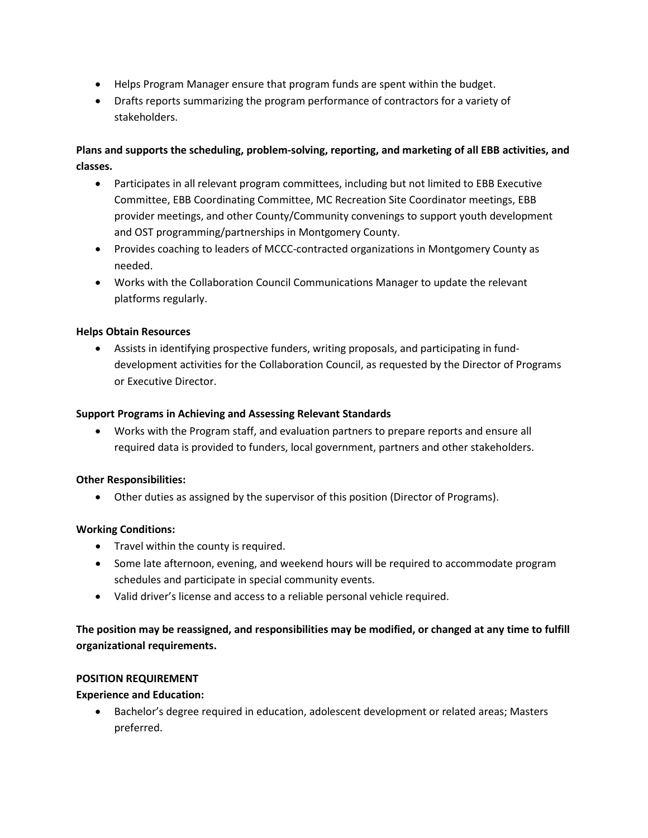- Helps Program Manager ensure that program funds are spent within the budget.
- Drafts reports summarizing the program performance of contractors for a variety of stakeholders.

# **Plans and supports the scheduling, problem-solving, reporting, and marketing of all EBB activities, and classes.**

- Participates in all relevant program committees, including but not limited to EBB Executive Committee, EBB Coordinating Committee, MC Recreation Site Coordinator meetings, EBB provider meetings, and other County/Community convenings to support youth development and OST programming/partnerships in Montgomery County.
- Provides coaching to leaders of MCCC-contracted organizations in Montgomery County as needed.
- Works with the Collaboration Council Communications Manager to update the relevant platforms regularly.

## **Helps Obtain Resources**

• Assists in identifying prospective funders, writing proposals, and participating in funddevelopment activities for the Collaboration Council, as requested by the Director of Programs or Executive Director.

#### **Support Programs in Achieving and Assessing Relevant Standards**

• Works with the Program staff, and evaluation partners to prepare reports and ensure all required data is provided to funders, local government, partners and other stakeholders.

#### **Other Responsibilities:**

• Other duties as assigned by the supervisor of this position (Director of Programs).

#### **Working Conditions:**

- Travel within the county is required.
- Some late afternoon, evening, and weekend hours will be required to accommodate program schedules and participate in special community events.
- Valid driver's license and access to a reliable personal vehicle required.

# **The position may be reassigned, and responsibilities may be modified, or changed at any time to fulfill organizational requirements.**

#### **POSITION REQUIREMENT**

#### **Experience and Education:**

• Bachelor's degree required in education, adolescent development or related areas; Masters preferred.